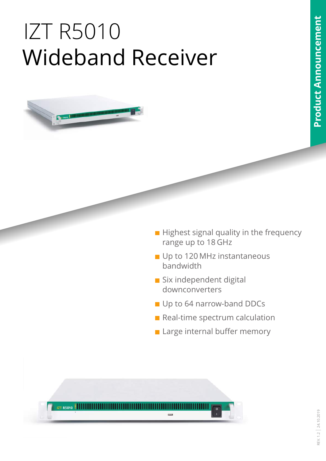# <span id="page-0-0"></span>IZT R5010 Wideband Receiver



- **Highest signal quality in the frequency** range up to 18 GHz
- Up to 120 MHz instantaneous bandwidth
- Six independent digital downconverters
- Up to 64 narrow-band DDCs
- Real-time spectrum calculation
- **Large internal buffer memory**

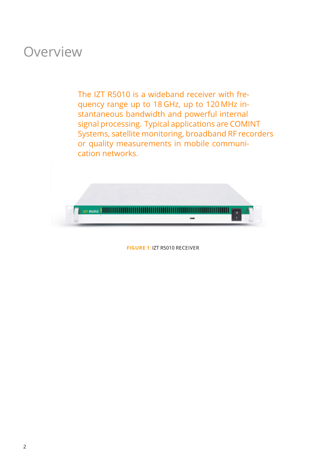### **Overview**

The IZT R5010 is a wideband receiver with frequency range up to 18 GHz, up to 120 MHz instantaneous bandwidth and powerful internal signal processing. Typical applications are COMINT Systems, satellite monitoring, broadband RF recorders or quality measurements in mobile communication networks.



**FIGURE 1:** IZT R5010 RECEIVER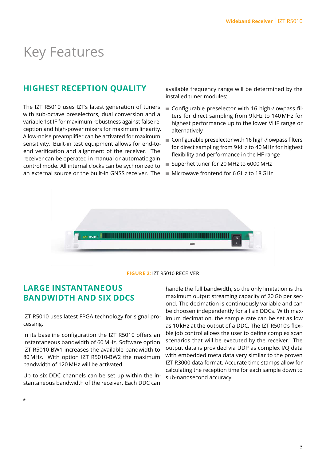### Key Features

#### **HIGHEST RECEPTION QUALITY**

The IZT R5010 uses IZT's latest generation of tuners with sub-octave preselectors, dual conversion and a variable 1st IF for maximum robustness against false reception and high-power mixers for maximum linearity. A low-noise preamplifier can be activated for maximum sensitivity. Built-in test equipment allows for end-toend verification and alignment of the receiver. The receiver can be operated in manual or automatic gain control mode. All internal clocks can be sychronized to an external source or the built-in GNSS receiver. The

available frequency range will be determined by the installed tuner modules:

- Configurable preselector with 16 high-/lowpass filters for direct sampling from 9 kHz to 140 MHz for highest performance up to the lower VHF range or alternatively
- Configurable preselector with 16 high-/lowpass filters for direct sampling from 9 kHz to 40 MHz for highest flexibility and performance in the HF range
- Superhet tuner for 20 MHz to 6000 MHz
- **Microwave frontend for 6 GHz to 18 GHz**



#### **FIGURE 2:** IZT R5010 RECEIVER

#### **LARGE INSTANTANEOUS BANDWIDTH AND SIX DDCS**

IZT R5010 uses latest FPGA technology for signal processing.

In its baseline configuration the IZT R5010 offers an instantaneous bandwidth of 60 MHz. Software option IZT R5010-BW1 increases the available bandwidth to 80 MHz. With option IZT R5010-BW2 the maximum bandwidth of 120 MHz will be activated.

Up to six DDC channels can be set up within the instantaneous bandwidth of the receiver. Each DDC can

handle the full bandwidth, so the only limitation is the maximum output streaming capacity of 20 Gb per second. The decimation is continuously variable and can be choosen independently for all six DDCs. With maximum decimation, the sample rate can be set as low as 10 kHz at the output of a DDC. The IZT R5010's flexible job control allows the user to define complex scan scenarios that will be executed by the receiver. The output data is provided via UDP as complex I/Q data with embedded meta data very similar to the proven IZT R3000 data format. Accurate time stamps allow for calculating the reception time for each sample down to sub-nanosecond accuracy.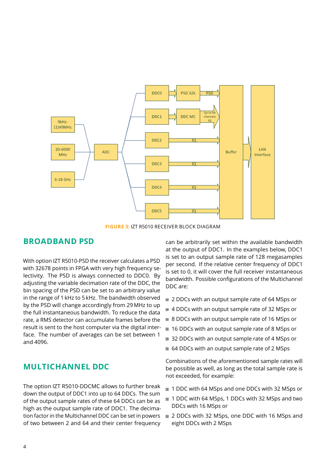

**FIGURE 3:** IZT R5010 RECEIVER BLOCK DIAGRAM

#### **BROADBAND PSD**

With option IZT R5010-PSD the receiver calculates a PSD with 32678 points in FPGA with very high frequency selectivity. The PSD is always connected to DDC0. By adjusting the variable decimation rate of the DDC, the bin spacing of the PSD can be set to an arbitrary value in the range of 1 kHz to 5 kHz. The bandwidth observed by the PSD will change accordingly from 29 MHz to up the full instantaneous bandwidth. To reduce the data rate, a RMS detector can accumulate frames before the result is sent to the host computer via the digital interface. The number of averages can be set between 1 and 4096.

#### **MULTICHANNEL DDC**

The option IZT R5010-DDCMC allows to further break down the output of DDC1 into up to 64 DDCs. The sum of the output sample rates of these 64 DDCs can be as high as the output sample rate of DDC1. The decimation factor in the Multichannel DDC can be set in powers of two between 2 and 64 and their center frequency can be arbitrarily set within the available bandwidth at the output of DDC1. In the examples below, DDC1 is set to an output sample rate of 128 megasamples per second. If the relative center frequency of DDC1 is set to 0, it will cover the full receiver instantaneous bandwidth. Possible configurations of the Multichannel DDC are:

- 2 DDCs with an output sample rate of 64 MSps or
- 4 DDCs with an output sample rate of 32 MSps or
- 8 DDCs with an output sample rate of 16 MSps or
- 16 DDCs with an output sample rate of 8 MSps or
- 32 DDCs with an output sample rate of 4 MSps or
- 64 DDCs with an output sample rate of 2 MSps

Combinations of the aforementioned sample rates will be possible as well, as long as the total sample rate is not exceeded, for example:

- 1 DDC with 64 MSps and one DDCs with 32 MSps or
- 1 DDC with 64 MSps, 1 DDCs with 32 MSps and two DDCs with 16 MSps or
- 2 DDCs with 32 MSps, one DDC with 16 MSps and eight DDCs with 2 MSps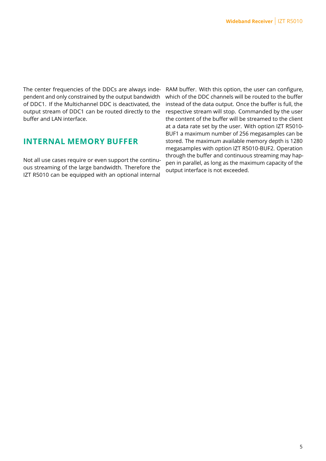The center frequencies of the DDCs are always independent and only constrained by the output bandwidth of DDC1. If the Multichannel DDC is deactivated, the output stream of DDC1 can be routed directly to the buffer and LAN interface.

#### **INTERNAL MEMORY BUFFER**

Not all use cases require or even support the continuous streaming of the large bandwidth. Therefore the IZT R5010 can be equipped with an optional internal

RAM buffer. With this option, the user can configure, which of the DDC channels will be routed to the buffer instead of the data output. Once the buffer is full, the respective stream will stop. Commanded by the user the content of the buffer will be streamed to the client at a data rate set by the user. With option IZT R5010- BUF1 a maximum number of 256 megasamples can be stored. The maximum available memory depth is 1280 megasamples with option IZT R5010-BUF2. Operation through the buffer and continuous streaming may happen in parallel, as long as the maximum capacity of the output interface is not exceeded.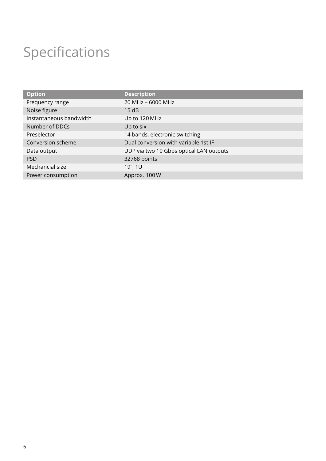## Specifications

| <b>Option</b>           | <b>Description</b>                      |
|-------------------------|-----------------------------------------|
| Frequency range         | 20 MHz - 6000 MHz                       |
| Noise figure            | 15dB                                    |
| Instantaneous bandwidth | Up to 120 MHz                           |
| Number of DDCs          | Up to six                               |
| Preselector             | 14 bands, electronic switching          |
| Conversion scheme       | Dual conversion with variable 1st IF    |
| Data output             | UDP via two 10 Gbps optical LAN outputs |
| <b>PSD</b>              | 32768 points                            |
| Mechancial size         | 19", 1U                                 |
| Power consumption       | Approx. 100 W                           |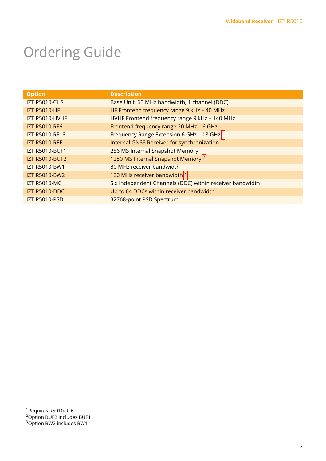## Ordering Guide

| <b>Option</b>         | <b>Description</b>                                       |
|-----------------------|----------------------------------------------------------|
| <b>IZT R5010-CHS</b>  | Base Unit, 60 MHz bandwidth, 1 channel (DDC)             |
| <b>IZT R5010-HF</b>   | HF Frontend frequency range 9 kHz - 40 MHz               |
| IZT R5010-HVHF        | HVHF Frontend frequency range 9 kHz - 140 MHz            |
| <b>IZT R5010-RF6</b>  | Frontend frequency range 20 MHz - 6 GHz                  |
| IZT R5010-RF18        | Frequency Range Extension 6 GHz - 18 GHz 1               |
| <b>IZT R5010-REF</b>  | Internal GNSS Receiver for synchronization               |
| <b>IZT R5010-BUF1</b> | 256 MS Internal Snapshot Memory                          |
| <b>IZT R5010-BUF2</b> | 1280 MS Internal Snapshot Memory <sup>2</sup>            |
| <b>IZT R5010-BW1</b>  | 80 MHz receiver bandwidth                                |
| <b>IZT R5010-BW2</b>  | 120 MHz receiver bandwidth 3                             |
| <b>IZT R5010-MC</b>   | Six Independent Channels (DDC) within receiver bandwidth |
| <b>IZT R5010-DDC</b>  | Up to 64 DDCs within receiver bandwidth                  |
| <b>IZT R5010-PSD</b>  | 32768-point PSD Spectrum                                 |
|                       |                                                          |

<sup>&</sup>lt;sup>1</sup> Requires R5010-RF6

<sup>2</sup>Option BUF2 includes BUF1

<sup>&</sup>lt;sup>3</sup>Option BW2 includes BW1